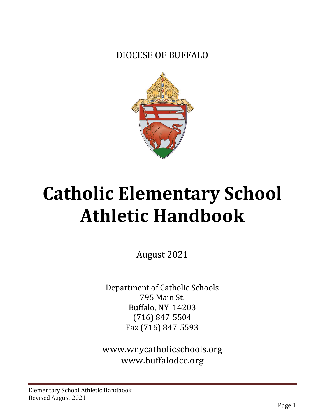DIOCESE OF BUFFALO



# **Catholic Elementary School Athletic Handbook**

August 2021

Department of Catholic Schools 795 Main St. Buffalo, NY 14203 (716) 847-5504 Fax (716) 847-5593

[www.wnycatholicschools.org](http://www.wnycatholicschools.org/) [www.buffalodce.org](http://www.buffalodce.org/)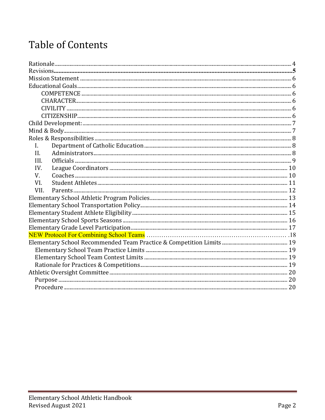# **Table of Contents**

| $\mathbf{I}$ .<br>II.<br>III.<br>IV.<br>V.<br>VI.<br>VII. |  |
|-----------------------------------------------------------|--|
|                                                           |  |
|                                                           |  |
|                                                           |  |
|                                                           |  |
|                                                           |  |
|                                                           |  |
|                                                           |  |
|                                                           |  |
|                                                           |  |
|                                                           |  |
|                                                           |  |
|                                                           |  |
|                                                           |  |
|                                                           |  |
|                                                           |  |
|                                                           |  |
|                                                           |  |
|                                                           |  |
|                                                           |  |
|                                                           |  |
|                                                           |  |
|                                                           |  |
|                                                           |  |
|                                                           |  |
|                                                           |  |
|                                                           |  |
|                                                           |  |
|                                                           |  |
|                                                           |  |
|                                                           |  |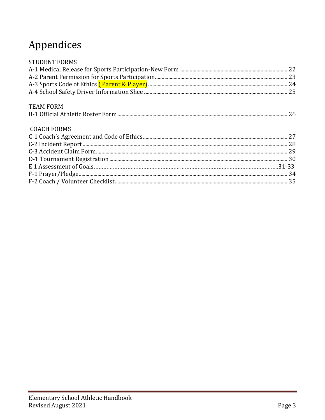# Appendices

<span id="page-2-0"></span>

| <b>STUDENT FORMS</b> |  |
|----------------------|--|
|                      |  |
|                      |  |
|                      |  |
|                      |  |
| <b>TEAM FORM</b>     |  |
|                      |  |
| <b>COACH FORMS</b>   |  |
|                      |  |
|                      |  |
|                      |  |
|                      |  |
|                      |  |
|                      |  |
|                      |  |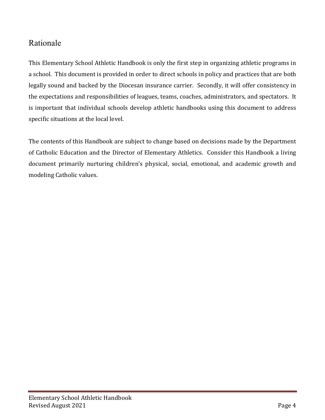## Rationale

This Elementary School Athletic Handbook is only the first step in organizing athletic programs in a school. This document is provided in order to direct schools in policy and practices that are both legally sound and backed by the Diocesan insurance carrier. Secondly, it will offer consistency in the expectations and responsibilities of leagues, teams, coaches, administrators, and spectators. It is important that individual schools develop athletic handbooks using this document to address specific situations at the local level.

The contents of this Handbook are subject to change based on decisions made by the Department of Catholic Education and the Director of Elementary Athletics. Consider this Handbook a living document primarily nurturing children's physical, social, emotional, and academic growth and modeling Catholic values.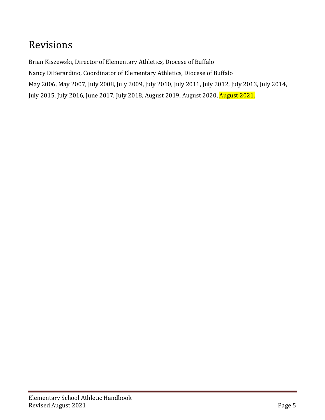# Revisions

<span id="page-4-0"></span>Brian Kiszewski, Director of Elementary Athletics, Diocese of Buffalo Nancy DiBerardino, Coordinator of Elementary Athletics, Diocese of Buffalo May 2006, May 2007, July 2008, July 2009, July 2010, July 2011, July 2012, July 2013, July 2014, July 2015, July 2016, June 2017, July 2018, August 2019, August 2020, August 2021.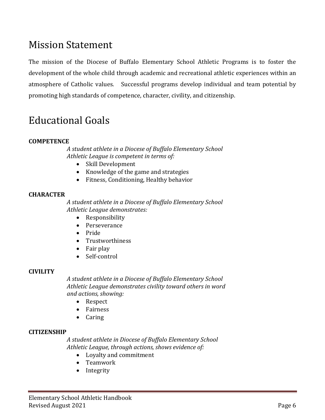## Mission Statement

The mission of the Diocese of Buffalo Elementary School Athletic Programs is to foster the development of the whole child through academic and recreational athletic experiences within an atmosphere of Catholic values. Successful programs develop individual and team potential by promoting high standards of competence, character, civility, and citizenship.

# <span id="page-5-0"></span>Educational Goals

### <span id="page-5-1"></span>**COMPETENCE**

*A student athlete in a Diocese of Buffalo Elementary School Athletic League is competent in terms of:*

- Skill Development
- Knowledge of the game and strategies
- Fitness, Conditioning, Healthy behavior

### <span id="page-5-2"></span>**CHARACTER**

*A student athlete in a Diocese of Buffalo Elementary School Athletic League demonstrates:*

- Responsibility
- Perseverance
- Pride
- Trustworthiness
- Fair play<br>• Self-conti
- Self-control

### <span id="page-5-3"></span>**CIVILITY**

*A student athlete in a Diocese of Buffalo Elementary School Athletic League demonstrates civility toward others in word and actions, showing:*

- Respect
- Fairness
- Caring

### <span id="page-5-4"></span>**CITIZENSHIP**

*A student athlete in Diocese of Buffalo Elementary School Athletic League, through actions, shows evidence of:*

- Loyalty and commitment
- Teamwork
- Integrity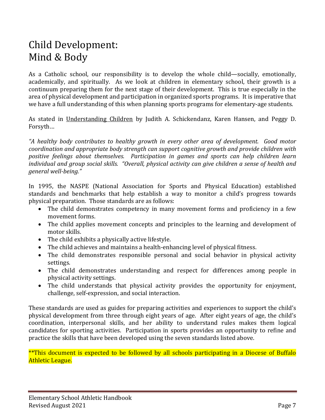# <span id="page-6-1"></span><span id="page-6-0"></span>Child Development: Mind & Body

As a Catholic school, our responsibility is to develop the whole child—socially, emotionally, academically, and spiritually. As we look at children in elementary school, their growth is a continuum preparing them for the next stage of their development. This is true especially in the area of physical development and participation in organized sports programs. It is imperative that we have a full understanding of this when planning sports programs for elementary-age students.

As stated in Understanding Children by Judith A. Schickendanz, Karen Hansen, and Peggy D. Forsyth…

*"A healthy body contributes to healthy growth in every other area of development. Good motor coordination and appropriate body strength can support cognitive growth and provide children with positive feelings about themselves. Participation in games and sports can help children learn individual and group social skills. "Overall, physical activity can give children a sense of health and general well-being."*

In 1995, the NASPE (National Association for Sports and Physical Education) established standards and benchmarks that help establish a way to monitor a child's progress towards physical preparation. Those standards are as follows:

- The child demonstrates competency in many movement forms and proficiency in a few movement forms.
- The child applies movement concepts and principles to the learning and development of motor skills.
- The child exhibits a physically active lifestyle.
- The child achieves and maintains a health-enhancing level of physical fitness.
- The child demonstrates responsible personal and social behavior in physical activity settings.
- The child demonstrates understanding and respect for differences among people in physical activity settings.
- The child understands that physical activity provides the opportunity for enjoyment, challenge, self-expression, and social interaction.

These standards are used as guides for preparing activities and experiences to support the child's physical development from three through eight years of age. After eight years of age, the child's coordination, interpersonal skills, and her ability to understand rules makes them logical candidates for sporting activities. Participation in sports provides an opportunity to refine and practice the skills that have been developed using the seven standards listed above.

\*\*This document is expected to be followed by all schools participating in a Diocese of Buffalo Athletic League.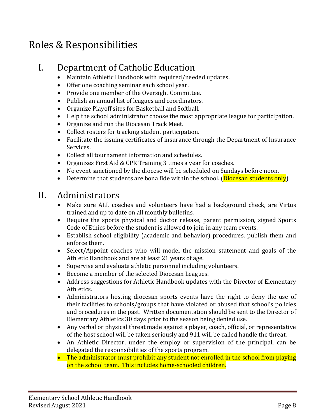# <span id="page-7-0"></span>Roles & Responsibilities

## <span id="page-7-1"></span>I. Department of Catholic Education

- Maintain Athletic Handbook with required/needed updates.
- Offer one coaching seminar each school year.
- Provide one member of the Oversight Committee.
- Publish an annual list of leagues and coordinators.
- Organize Playoff sites for Basketball and Softball.
- Help the school administrator choose the most appropriate league for participation.
- Organize and run the Diocesan Track Meet.
- Collect rosters for tracking student participation.
- Facilitate the issuing certificates of insurance through the Department of Insurance Services.
- Collect all tournament information and schedules.
- Organizes First Aid & CPR Training 3 times a year for coaches.
- No event sanctioned by the diocese will be scheduled on Sundays before noon.
- Determine that students are bona fide within the school. (**Diocesan students only**)

## <span id="page-7-2"></span>II. Administrators

- Make sure ALL coaches and volunteers have had a background check, are Virtus trained and up to date on all monthly bulletins.
- Require the sports physical and doctor release, parent permission, signed Sports Code of Ethics before the student is allowed to join in any team events.
- Establish school eligibility (academic and behavior) procedures, publish them and enforce them.
- Select/Appoint coaches who will model the mission statement and goals of the Athletic Handbook and are at least 21 years of age.
- Supervise and evaluate athletic personnel including volunteers.
- Become a member of the selected Diocesan Leagues.
- Address suggestions for Athletic Handbook updates with the Director of Elementary Athletics.
- Administrators hosting diocesan sports events have the right to deny the use of their facilities to schools/groups that have violated or abused that school's policies and procedures in the past. Written documentation should be sent to the Director of Elementary Athletics 30 days prior to the season being denied use.
- Any verbal or physical threat made against a player, coach, official, or representative of the host school will be taken seriously and 911 will be called handle the threat.
- An Athletic Director, under the employ or supervision of the principal, can be delegated the responsibilities of the sports program.
- The administrator must prohibit any student not enrolled in the school from playing on the school team. This includes home-schooled children.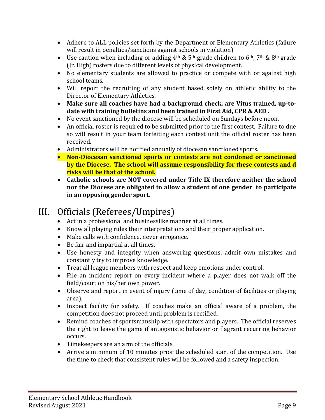- Adhere to ALL policies set forth by the Department of Elementary Athletics (failure will result in penalties/sanctions against schools in violation)
- Use caution when including or adding  $4<sup>th</sup>$  &  $5<sup>th</sup>$  grade children to  $6<sup>th</sup>$ , 7<sup>th</sup> &  $8<sup>th</sup>$  grade (Jr. High) rosters due to different levels of physical development.
- No elementary students are allowed to practice or compete with or against high school teams.
- Will report the recruiting of any student based solely on athletic ability to the Director of Elementary Athletics.
- **Make sure all coaches have had a background check, are Vitus trained, up-todate with training bulletins and been trained in First Aid, CPR & AED .**
- No event sanctioned by the diocese will be scheduled on Sundays before noon.
- An official roster is required to be submitted prior to the first contest. Failure to due so will result in your team forfeiting each contest unit the official roster has been received.
- Administrators will be notified annually of diocesan sanctioned sports.
- **Non-Diocesan sanctioned sports or contests are not condoned or sanctioned by the Diocese. The school will assume responsibility for these contests and d risks will be that of the school.**
- **Catholic schools are NOT covered under Title IX therefore neither the school nor the Diocese are obligated to allow a student of one gender to participate in an opposing gender sport.**

# <span id="page-8-0"></span>III. Officials (Referees/Umpires)<br>• Act in a professional and businesslike manner at all times.

- 
- Know all playing rules their interpretations and their proper application.
- Make calls with confidence, never arrogance.
- Be fair and impartial at all times.
- Use honesty and integrity when answering questions, admit own mistakes and constantly try to improve knowledge.
- Treat all league members with respect and keep emotions under control.
- File an incident report on every incident where a player does not walk off the field/court on his/her own power.
- Observe and report in event of injury (time of day, condition of facilities or playing area).
- Inspect facility for safety. If coaches make an official aware of a problem, the competition does not proceed until problem is rectified.
- Remind coaches of sportsmanship with spectators and players. The official reserves the right to leave the game if antagonistic behavior or flagrant recurring behavior occurs.
- Timekeepers are an arm of the officials.
- Arrive a minimum of 10 minutes prior the scheduled start of the competition. Use the time to check that consistent rules will be followed and a safety inspection.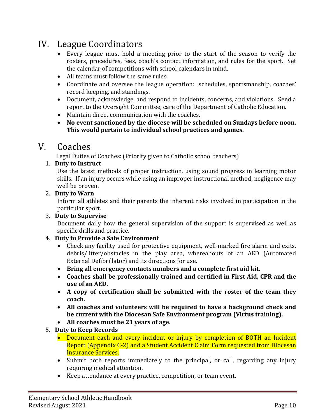## <span id="page-9-0"></span>IV. League Coordinators

- Every league must hold a meeting prior to the start of the season to verify the rosters, procedures, fees, coach's contact information, and rules for the sport. Set the calendar of competitions with school calendars in mind.
- All teams must follow the same rules.
- Coordinate and oversee the league operation: schedules, sportsmanship, coaches' record keeping, and standings.
- Document, acknowledge, and respond to incidents, concerns, and violations. Send a report to the Oversight Committee, care of the Department of Catholic Education.
- Maintain direct communication with the coaches.
- **No event sanctioned by the diocese will be scheduled on Sundays before noon. This would pertain to individual school practices and games.**

<span id="page-9-1"></span>V. Coaches<br>Legal Duties of Coaches: (Priority given to Catholic school teachers)

## 1. **Duty to Instruct**

Use the latest methods of proper instruction, using sound progress in learning motor skills. If an injury occurs while using an improper instructional method, negligence may well be proven.

## 2. **Duty to Warn**

Inform all athletes and their parents the inherent risks involved in participation in the particular sport.

## 3. **Duty to Supervise**

Document daily how the general supervision of the support is supervised as well as specific drills and practice.

## 4. **Duty to Provide a Safe Environment**

- Check any facility used for protective equipment, well-marked fire alarm and exits, debris/litter/obstacles in the play area, whereabouts of an AED (Automated External Defibrillator) and its directions for use.
- **Bring all emergency contacts numbers and a complete first aid kit.**
- **Coaches shall be professionally trained and certified in First Aid, CPR and the use of an AED.**
- **A copy of certification shall be submitted with the roster of the team they coach.**
- **All coaches and volunteers will be required to have a background check and be current with the Diocesan Safe Environment program (Virtus training).**
- **All coaches must be 21 years of age.**
- 5. **Duty to Keep Records**
	- Document each and every incident or injury by completion of BOTH an Incident Report (Appendix C-2) and a Student Accident Claim Form requested from Diocesan Insurance Services.
	- Submit both reports immediately to the principal, or call, regarding any injury requiring medical attention.
	- Keep attendance at every practice, competition, or team event.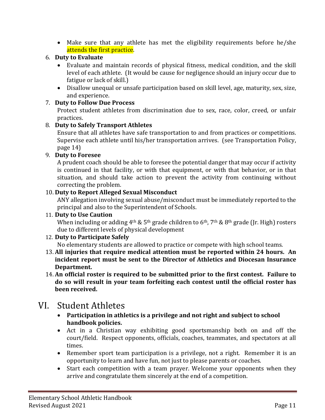• Make sure that any athlete has met the eligibility requirements before he/she attends the first practice.

### 6. **Duty to Evaluate**

- Evaluate and maintain records of physical fitness, medical condition, and the skill level of each athlete. (It would be cause for negligence should an injury occur due to fatigue or lack of skill.)
- Disallow unequal or unsafe participation based on skill level, age, maturity, sex, size, and experience.

## 7. **Duty to Follow Due Process**

Protect student athletes from discrimination due to sex, race, color, creed, or unfair practices.

## 8. **Duty to Safely Transport Athletes**

Ensure that all athletes have safe transportation to and from practices or competitions. Supervise each athlete until his/her transportation arrives. (see Transportation Policy, page 14)

## 9. **Duty to Foresee**

A prudent coach should be able to foresee the potential danger that may occur if activity is continued in that facility, or with that equipment, or with that behavior, or in that situation, and should take action to prevent the activity from continuing without correcting the problem.

## 10. **Duty to Report Alleged Sexual Misconduct**

ANY allegation involving sexual abuse/misconduct must be immediately reported to the principal and also to the Superintendent of Schools.

### 11. **Duty to Use Caution**

When including or adding  $4<sup>th</sup>$  &  $5<sup>th</sup>$  grade children to  $6<sup>th</sup>$ ,  $7<sup>th</sup>$  &  $8<sup>th</sup>$  grade (Ir. High) rosters due to different levels of physical development

## 12. **Duty to Participate Safely**

No elementary students are allowed to practice or compete with high school teams.

- 13. **All injuries that require medical attention must be reported within 24 hours. An incident report must be sent to the Director of Athletics and Diocesan Insurance Department.**
- 14. **An official roster is required to be submitted prior to the first contest. Failure to do so will result in your team forfeiting each contest until the official roster has been received.**

## <span id="page-10-0"></span>VI. Student Athletes

- **Participation in athletics is a privilege and not right and subject to school handbook policies.**
- Act in a Christian way exhibiting good sportsmanship both on and off the court/field. Respect opponents, officials, coaches, teammates, and spectators at all times.
- Remember sport team participation is a privilege, not a right. Remember it is an opportunity to learn and have fun, not just to please parents or coaches.
- Start each competition with a team prayer. Welcome your opponents when they arrive and congratulate them sincerely at the end of a competition.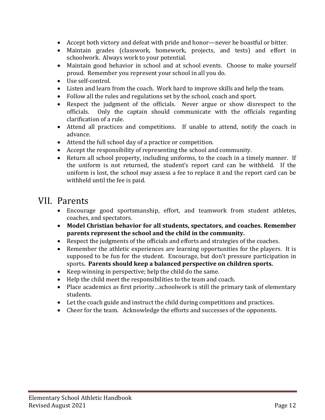- Accept both victory and defeat with pride and honor—never be boastful or bitter.
- Maintain grades (classwork, homework, projects, and tests) and effort in schoolwork. Always work to your potential.
- Maintain good behavior in school and at school events. Choose to make yourself proud. Remember you represent your school in all you do.
- Use self-control.
- Listen and learn from the coach. Work hard to improve skills and help the team.
- Follow all the rules and regulations set by the school, coach and sport.
- Respect the judgment of the officials. Never argue or show disrespect to the officials. Only the captain should communicate with the officials regarding Only the captain should communicate with the officials regarding clarification of a rule.
- Attend all practices and competitions. If unable to attend, notify the coach in advance.
- Attend the full school day of a practice or competition.
- Accept the responsibility of representing the school and community.
- Return all school property, including uniforms, to the coach in a timely manner. If the uniform is not returned, the student's report card can be withheld. If the uniform is lost, the school may assess a fee to replace it and the report card can be withheld until the fee is paid.

## <span id="page-11-0"></span>VII. Parents

- Encourage good sportsmanship, effort, and teamwork from student athletes, coaches, and spectators.
- **Model Christian behavior for all students, spectators, and coaches. Remember parents represent the school and the child in the community.**
- Respect the judgments of the officials and efforts and strategies of the coaches.
- Remember the athletic experiences are learning opportunities for the players. It is supposed to be fun for the student. Encourage, but don't pressure participation in sports**. Parents should keep a balanced perspective on children sports.**
- Keep winning in perspective; help the child do the same.
- Help the child meet the responsibilities to the team and coach.
- Place academics as first priority...schoolwork is still the primary task of elementary students.
- Let the coach guide and instruct the child during competitions and practices.
- Cheer for the team. Acknowledge the efforts and successes of the opponents.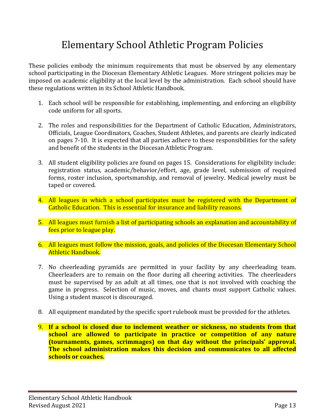# Elementary School Athletic Program Policies

<span id="page-12-0"></span>These policies embody the minimum requirements that must be observed by any elementary school participating in the Diocesan Elementary Athletic Leagues. More stringent policies may be imposed on academic eligibility at the local level by the administration. Each school should have these regulations written in its School Athletic Handbook.

- 1. Each school will be responsible for establishing, implementing, and enforcing an eligibility code uniform for all sports.
- 2. The roles and responsibilities for the Department of Catholic Education, Administrators, Officials, League Coordinators, Coaches, Student Athletes, and parents are clearly indicated on pages 7-10. It is expected that all parties adhere to these responsibilities for the safety and benefit of the students in the Diocesan Athletic Program.
- 3. All student eligibility policies are found on pages 15. Considerations for eligibility include: registration status, academic/behavior/effort, age, grade level, submission of required forms, roster inclusion, sportsmanship, and removal of jewelry. Medical jewelry must be taped or covered.
- 4. All leagues in which a school participates must be registered with the Department of Catholic Education. This is essential for insurance and liability reasons.
- 5. All leagues must furnish a list of participating schools an explanation and accountability of fees prior to league play.
- 6. All leagues must follow the mission, goals, and policies of the Diocesan Elementary School Athletic Handbook.
- 7. No cheerleading pyramids are permitted in your facility by any cheerleading team. Cheerleaders are to remain on the floor during all cheering activities. The cheerleaders must be supervised by an adult at all times, one that is not involved with coaching the game in progress. Selection of music, moves, and chants must support Catholic values. Using a student mascot is discouraged.
- 8. All equipment mandated by the specific sport rulebook must be provided for the athletes.
- 9. **If a school is closed due to inclement weather or sickness, no students from that school are allowed to participate in practice or competition of any nature (tournaments, games, scrimmages) on that day without the principals' approval. The school administration makes this decision and communicates to all affected schools or coaches.**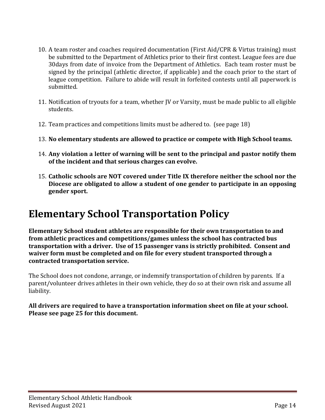- 10. A team roster and coaches required documentation (First Aid/CPR & Virtus training) must be submitted to the Department of Athletics prior to their first contest. League fees are due 30days from date of invoice from the Department of Athletics. Each team roster must be signed by the principal (athletic director, if applicable) and the coach prior to the start of league competition. Failure to abide will result in forfeited contests until all paperwork is submitted.
- 11. Notification of tryouts for a team, whether JV or Varsity, must be made public to all eligible students.
- 12. Team practices and competitions limits must be adhered to. (see page 18)
- 13. **No elementary students are allowed to practice or compete with High School teams.**
- 14. **Any violation a letter of warning will be sent to the principal and pastor notify them of the incident and that serious charges can evolve.**
- 15. **Catholic schools are NOT covered under Title IX therefore neither the school nor the Diocese are obligated to allow a student of one gender to participate in an opposing gender sport.**

# <span id="page-13-0"></span>**Elementary School Transportation Policy**

**Elementary School student athletes are responsible for their own transportation to and from athletic practices and competitions/games unless the school has contracted bus transportation with a driver. Use of 15 passenger vans is strictly prohibited. Consent and waiver form must be completed and on file for every student transported through a contracted transportation service.**

The School does not condone, arrange, or indemnify transportation of children by parents. If a parent/volunteer drives athletes in their own vehicle, they do so at their own risk and assume all liability.

**All drivers are required to have a transportation information sheet on file at your school. Please see page 25 for this document.**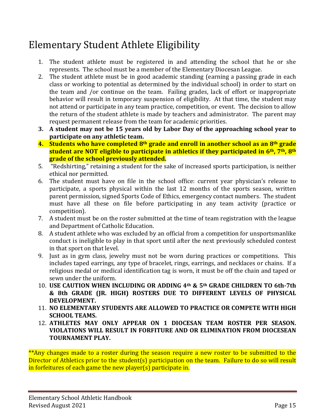# <span id="page-14-0"></span>Elementary Student Athlete Eligibility

- 1. The student athlete must be registered in and attending the school that he or she represents. The school must be a member of the Elementary Diocesan League.
- 2. The student athlete must be in good academic standing (earning a passing grade in each class or working to potential as determined by the individual school) in order to start on the team and /or continue on the team. Failing grades, lack of effort or inappropriate behavior will result in temporary suspension of eligibility. At that time, the student may not attend or participate in any team practice, competition, or event. The decision to allow the return of the student athlete is made by teachers and administrator. The parent may request permanent release from the team for academic priorities.
- **3. A student may not be 15 years old by Labor Day of the approaching school year to participate on any athletic team.**
- **4. Students who have completed 8th grade and enroll in another school as an 8th grade student are NOT eligible to participate in athletics if they participated in 6th, 7th, 8th grade of the school previously attended.**
- 5. "Redshirting," retaining a student for the sake of increased sports participation, is neither ethical nor permitted.
- 6. The student must have on file in the school office: current year physician's release to participate, a sports physical within the last 12 months of the sports season, written parent permission, signed Sports Code of Ethics, emergency contact numbers. The student must have all these on file before participating in any team activity (practice or competition).
- 7. A student must be on the roster submitted at the time of team registration with the league and Department of Catholic Education.
- 8. A student athlete who was excluded by an official from a competition for unsportsmanlike conduct is ineligible to play in that sport until after the next previously scheduled contest in that sport on that level.
- 9. Just as in gym class, jewelry must not be worn during practices or competitions. This includes taped earrings, any type of bracelet, rings, earrings, and necklaces or chains. If a religious medal or medical identification tag is worn, it must be off the chain and taped or sewn under the uniform.
- 10. **USE CAUTION WHEN INCLUDING OR ADDING 4th & 5th GRADE CHILDREN TO 6th-7th & 8th GRADE (JR. HIGH) ROSTERS DUE TO DIFFERENT LEVELS OF PHYSICAL DEVELOPMENT.**
- 11. **NO ELEMENTARY STUDENTS ARE ALLOWED TO PRACTICE OR COMPETE WITH HIGH SCHOOL TEAMS.**
- 12. **ATHLETES MAY ONLY APPEAR ON 1 DIOCESAN TEAM ROSTER PER SEASON. VIOLATIONS WILL RESULT IN FORFITURE AND OR ELIMINATION FROM DIOCESEAN TOURNAMENT PLAY.**

\*\*Any changes made to a roster during the season require a new roster to be submitted to the Director of Athletics prior to the student(s) participation on the team. Failure to do so will result in forfeitures of each game the new player(s) participate in.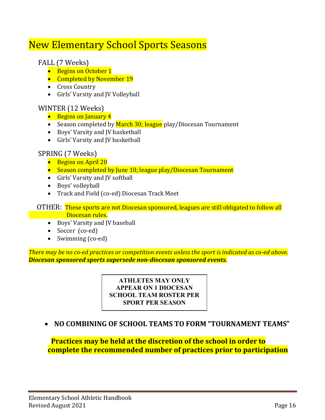# <span id="page-15-0"></span>New Elementary School Sports Seasons

## FALL (7 Weeks)

- Begins on October 1
- Completed by November 19
- Cross Country
- Girls' Varsity and JV Volleyball

## WINTER (12 Weeks)

- Begins on January 4
- Season completed by March 30; league play/Diocesan Tournament
- Boys' Varsity and JV basketball
- Girls' Varsity and JV basketball

## SPRING (7 Weeks)

- Begins on April 20
- Season completed by June 10; league play/Diocesan Tournament
- Girls' Varsity and JV softball
- Boys' volleyball
- Track and Field (co-ed) Diocesan Track Meet

 OTHER: These sports are not Diocesan sponsored, leagues are still obligated to follow all **Diocesan rules.** 

- Boys' Varsity and JV baseball
- Soccer (co-ed)
- Swimming (co-ed)

*There may be no co-ed practices or competition events unless the sport is indicated as co-ed above. Diocesan sponsored sports supersede non-diocesan sponsored events.*

> **ATHLETES MAY ONLY APPEAR ON 1 DIOCESAN SCHOOL TEAM ROSTER PER SPORT PER SEASON**

## • **NO COMBINING OF SCHOOL TEAMS TO FORM "TOURNAMENT TEAMS"**

 **Practices may be held at the discretion of the school in order to complete the recommended number of practices prior to participation**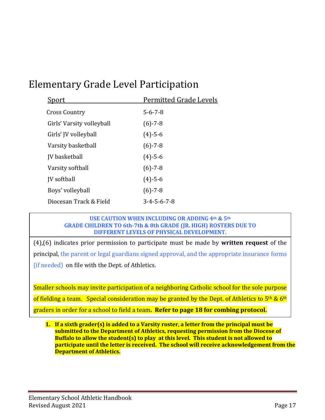# <span id="page-16-0"></span>Elementary Grade Level Participation

| Sport                     | <b>Permitted Grade Levels</b> |
|---------------------------|-------------------------------|
| <b>Cross Country</b>      | $5 - 6 - 7 - 8$               |
| Girls' Varsity volleyball | $(6) - 7 - 8$                 |
| Girls' JV volleyball      | $(4) - 5 - 6$                 |
| Varsity basketball        | $(6) - 7 - 8$                 |
| <b>IV</b> basketball      | $(4) - 5 - 6$                 |
| Varsity softball          | $(6) - 7 - 8$                 |
| <b>IV</b> softball        | $(4) - 5 - 6$                 |
| Boys' volleyball          | $(6) - 7 - 8$                 |
| Diocesan Track & Field    | $3 - 4 - 5 - 6 - 7 - 8$       |

#### **USE CAUTION WHEN INCLUDING OR ADDING 4th & 5th GRADE CHILDREN TO 6th-7th & 8th GRADE (JR. HIGH) ROSTERS DUE TO DIFFERENT LEVELS OF PHYSICAL DEVELOPMENT.**

(4),(6) indicates prior permission to participate must be made by **written request** of the principal, the parent or legal guardians signed approval, and the appropriate insurance forms (if needed) on file with the Dept. of Athletics.

Smaller schools may invite participation of a neighboring Catholic school for the sole purpose of fielding a team. Special consideration may be granted by the Dept. of Athletics to  $5<sup>th</sup>$  &  $6<sup>th</sup>$ graders in order for a school to field a team**. Refer to page 18 for combing protocol.**

**1. If a sixth grader(s) is added to a Varsity roster, a letter from the principal must be submitted to the Department of Athletics, requesting permission from the Diocese of Buffalo to allow the student(s) to play at this level. This student is not allowed to participate until the letter is received. The school will receive acknowledgement from the Department of Athletics.**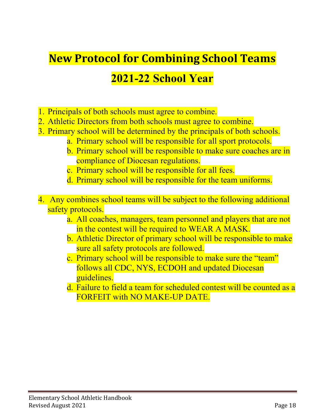# <span id="page-17-0"></span>**New Protocol for Combining School Teams**

# **2021-22 School Year**

- 1. Principals of both schools must agree to combine.
- 2. Athletic Directors from both schools must agree to combine.
- 3. Primary school will be determined by the principals of both schools.
	- a. Primary school will be responsible for all sport protocols.
	- b. Primary school will be responsible to make sure coaches are in compliance of Diocesan regulations.
	- c. Primary school will be responsible for all fees.
	- d. Primary school will be responsible for the team uniforms.
- 4. Any combines school teams will be subject to the following additional safety protocols.
	- a. All coaches, managers, team personnel and players that are not in the contest will be required to WEAR A MASK.
	- b. Athletic Director of primary school will be responsible to make sure all safety protocols are followed.
	- c. Primary school will be responsible to make sure the "team" follows all CDC, NYS, ECDOH and updated Diocesan guidelines.
	- d. Failure to field a team for scheduled contest will be counted as a FORFEIT with NO MAKE-UP DATE.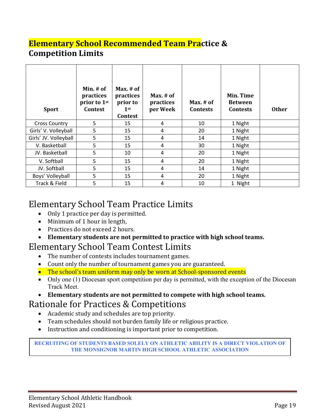## **Elementary School Recommended Team Practice & Competition Limits**

| <b>Sport</b>          | Min. $#$ of<br>practices<br>prior to 1st<br><b>Contest</b> | Max. $#$ of<br>practices<br>prior to<br>$1$ st<br><b>Contest</b> | Max. $#$ of<br>practices<br>per Week | Max. # of<br><b>Contests</b> | Min. Time<br><b>Between</b><br><b>Contests</b> | <b>Other</b> |
|-----------------------|------------------------------------------------------------|------------------------------------------------------------------|--------------------------------------|------------------------------|------------------------------------------------|--------------|
| <b>Cross Country</b>  | 5                                                          | 15                                                               | 4                                    | 10                           | 1 Night                                        |              |
| Girls' V. Volleyball  | 5                                                          | 15                                                               | 4                                    | 20                           | 1 Night                                        |              |
| Girls' JV. Volleyball | 5                                                          | 15                                                               | 4                                    | 14                           | 1 Night                                        |              |
| V. Basketball         | 5                                                          | 15                                                               | 4                                    | 30                           | 1 Night                                        |              |
| JV. Basketball        | 5                                                          | 10                                                               | 4                                    | 20                           | 1 Night                                        |              |
| V. Softball           | 5                                                          | 15                                                               | 4                                    | 20                           | 1 Night                                        |              |
| JV. Softball          | 5                                                          | 15                                                               | 4                                    | 14                           | 1 Night                                        |              |
| Boys' Volleyball      | 5                                                          | 15                                                               | 4                                    | 20                           | 1 Night                                        |              |
| Track & Field         | 5                                                          | 15                                                               | 4                                    | 10                           | 1 Night                                        |              |

# <span id="page-18-0"></span>Elementary School Team Practice Limits<br>
• Only 1 practice per day is permitted.

- 
- Minimum of 1 hour in length,
- Practices do not exceed 2 hours.
- **Elementary students are not permitted to practice with high school teams.**

# <span id="page-18-1"></span>Elementary School Team Contest Limits<br>• The number of contests includes tournament games.

- 
- Count only the number of tournament games you are guaranteed.
- The school's team uniform may only be worn at School-sponsored events
- Only one (1) Diocesan sport competition per day is permitted, with the exception of the Diocesan Track Meet.
- **Elementary students are not permitted to compete with high school teams.**

# <span id="page-18-2"></span>Rationale for Practices & Competitions<br>• Academic study and schedules are top priority.

- 
- Team schedules should not burden family life or religious practice.
- Instruction and conditioning is important prior to competition.

<span id="page-18-3"></span>RECRUITING OF STUDENTS BASED SOLELY ON ATHLETIC ABILITY IS A DIRECT VIOLATION OF **THE MONSIGNOR MARTIN HIGH SCHOOL ATHLETIC ASSOCIATION**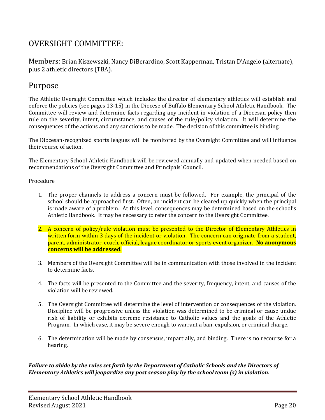## OVERSIGHT COMMITTEE:

Members: Brian Kiszewszki, Nancy DiBerardino, Scott Kapperman, Tristan D'Angelo (alternate), plus 2 athletic directors (TBA).

## <span id="page-19-0"></span>Purpose

The Athletic Oversight Committee which includes the director of elementary athletics will establish and enforce the policies (see pages 13-15) in the Diocese of Buffalo Elementary School Athletic Handbook. The Committee will review and determine facts regarding any incident in violation of a Diocesan policy then rule on the severity, intent, circumstance, and causes of the rule/policy violation. It will determine the consequences of the actions and any sanctions to be made. The decision of this committee is binding.

The Diocesan-recognized sports leagues will be monitored by the Oversight Committee and will influence their course of action.

The Elementary School Athletic Handbook will be reviewed annually and updated when needed based on recommendations of the Oversight Committee and Principals' Council.

<span id="page-19-1"></span>Procedure

- 1. The proper channels to address a concern must be followed. For example, the principal of the school should be approached first. Often, an incident can be cleared up quickly when the principal is made aware of a problem. At this level, consequences may be determined based on the school's Athletic Handbook. It may be necessary to refer the concern to the Oversight Committee.
- 2. A concern of policy/rule violation must be presented to the Director of Elementary Athletics in written form within 3 days of the incident or violation. The concern can originate from a student, parent, administrator, coach, official, league coordinator or sports event organizer. **No anonymous concerns will be addressed**.
- 3. Members of the Oversight Committee will be in communication with those involved in the incident to determine facts.
- 4. The facts will be presented to the Committee and the severity, frequency, intent, and causes of the violation will be reviewed.
- 5. The Oversight Committee will determine the level of intervention or consequences of the violation. Discipline will be progressive unless the violation was determined to be criminal or cause undue risk of liability or exhibits extreme resistance to Catholic values and the goals of the Athletic Program. In which case, it may be severe enough to warrant a ban, expulsion, or criminal charge.
- 6. The determination will be made by consensus, impartially, and binding. There is no recourse for a hearing.

*Failure to abide by the rules set forth by the Department of Catholic Schools and the Directors of Elementary Athletics will jeopardize any post season play by the school team (s) in violation.*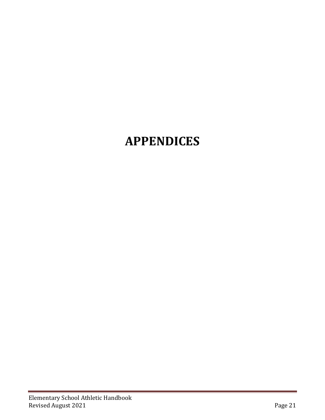# <span id="page-20-0"></span>**APPENDICES**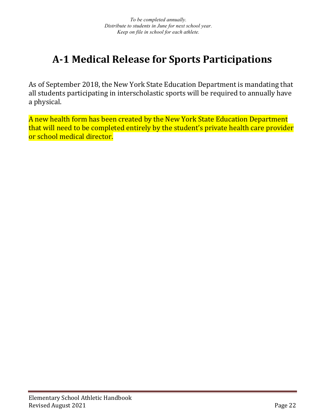# <span id="page-21-0"></span>**A-1 Medical Release for Sports Participations**

As of September 2018, the New York State Education Department is mandating that all students participating in interscholastic sports will be required to annually have a physical.

A new health form has been created by the New York State Education Department that will need to be completed entirely by the student's private health care provider or school medical director.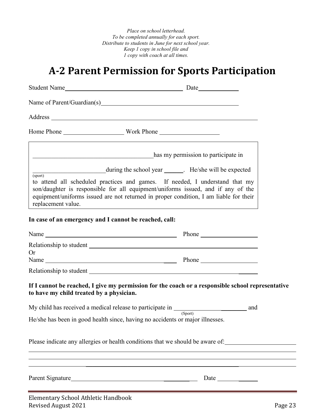*Place on school letterhead. To be completed annually for each sport. Distribute to students in June for next school year. Keep 1 copy in school file and 1 copy with coach at all times.*

# **A-2 Parent Permission for Sports Participation**

<span id="page-22-0"></span>

|                                                        | Name of Parent/Guardian(s) Manuscripture of Parent/Guardian(s)                                                                                                                                                                                            |  |
|--------------------------------------------------------|-----------------------------------------------------------------------------------------------------------------------------------------------------------------------------------------------------------------------------------------------------------|--|
|                                                        |                                                                                                                                                                                                                                                           |  |
|                                                        |                                                                                                                                                                                                                                                           |  |
| <u> 1989 - Johann Stein, mars eta biztanleria (</u>    | has my permission to participate in                                                                                                                                                                                                                       |  |
| <u> 1980 - Johann Barnett, fransk politik (</u>        | during the school year _______. He/she will be expected                                                                                                                                                                                                   |  |
| $\overline{\text{(sport)}}$<br>replacement value.      | to attend all scheduled practices and games. If needed, I understand that my<br>son/daughter is responsible for all equipment/uniforms issued, and if any of the<br>equipment/uniforms issued are not returned in proper condition, I am liable for their |  |
| In case of an emergency and I cannot be reached, call: |                                                                                                                                                                                                                                                           |  |
|                                                        | Name Phone Phone                                                                                                                                                                                                                                          |  |
| <b>Or</b>                                              |                                                                                                                                                                                                                                                           |  |
|                                                        |                                                                                                                                                                                                                                                           |  |
| to have my child treated by a physician.               | If I cannot be reached, I give my permission for the coach or a responsible school representative                                                                                                                                                         |  |
|                                                        | My child has received a medical release to participate in $\frac{S_{\text{port}}}{S_{\text{port}}}$ and                                                                                                                                                   |  |
|                                                        | He/she has been in good health since, having no accidents or major illnesses.                                                                                                                                                                             |  |
|                                                        | Please indicate any allergies or health conditions that we should be aware of:                                                                                                                                                                            |  |
|                                                        | Parent Signature                                                                                                                                                                                                                                          |  |
|                                                        |                                                                                                                                                                                                                                                           |  |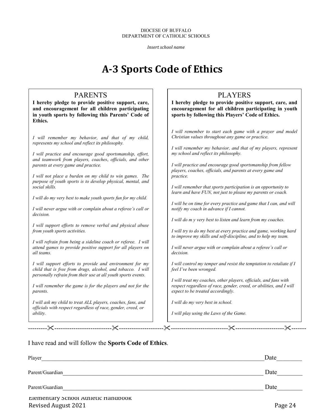#### DIOCESE OF BUFFALO DEPARTMENT OF CATHOLIC SCHOOLS

*Insert school name*

# **A-3 Sports Code of Ethics**

### PARENTS

<span id="page-23-0"></span>**I hereby pledge to provide positive support, care, and encouragement for all children participating in youth sports by following this Parents' Code of Ethics.**

*I will remember my behavior, and that of my child, represents my school and reflect its philosophy.*

*I will practice and encourage good sportsmanship, effort, and teamwork from players, coaches*, *officials, and other parents at every game and practice.*

*I will not place a burden on my child to win games. The purpose of youth sports is to develop physical, mental, and social skills.*

*I will do my very best to make youth sports fun for my child.*

*I will never argue with or complain about a referee's call or decision.*

*I will support efforts to remove verbal and physical abuse from youth sports activities.*

*I will refrain from being a sideline coach or referee. I will attend games to provide positive support for all players on all teams.*

*I will support efforts to provide and environment for my child that is free from drugs, alcohol, and tobacco. I will personally refrain from their use at all youth sports events.*

*I will remember the game is for the players and not for the parents.*

*I will ask my child to treat ALL players, coaches, fans, and officials with respect regardless of race, gender, creed, or ability.*

## PLAYERS

**I hereby pledge to provide positive support, care, and encouragement for all children participating in youth sports by following this Players' Code of Ethics.**

*I will remember to start each game with a prayer and model Christian values throughout any game or practice.*

*I will remember my behavior, and that of my players, represent my school and reflect its philosophy.*

*I will practice and encourage good sportsmanship from fellow players, coaches, officials, and parents at every game and practice.*

*I will remember that sports participation is an opportunity to learn and have FUN, not just to please my parents or coach.*

*I will be on time for every practice and game that I can, and will notify my coach in advance if I cannot.*

*I will do m y very best to listen and learn from my coaches.*

*I will try to do my best at every practice and game, working hard to improve my skills and self-discipline, and to help my team.*

*I will never argue with or complain about a referee's call or decision.*

*I will control my temper and resist the temptation to retaliate if I feel I've been wronged.*

*I will treat my coaches, other players, officials, and fans with respect regardless of race, gender, creed, or abilities, and I will expect to be treated accordingly.*

*I will do my very best in school.*

*I will play using the Laws of the Game.*

I have read and will follow the **Sports Code of Ethics**.

| Player                                       | Date |
|----------------------------------------------|------|
| Parent/Guardian                              | Date |
| Parent/Guardian                              | Date |
| <b>EXAMPLE SUBDIVITY OF A LIGHTER HARDER</b> |      |

------------------------------------------------------------------------------------------------------------------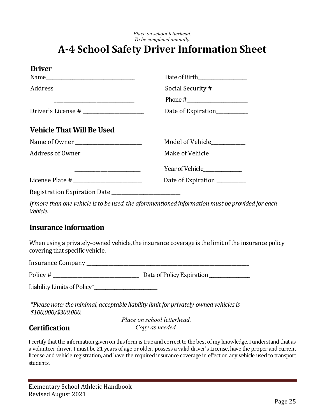*Place on school letterhead. To be completed annually.*

## <span id="page-24-0"></span>**A-4 School Safety Driver Information Sheet**

| <b>Driver</b>                            |                               |
|------------------------------------------|-------------------------------|
|                                          | Date of Birth                 |
| Address ________________________________ | Social Security #___________  |
|                                          |                               |
|                                          | Date of Expiration___________ |
| <b>Vehicle That Will Be Used</b>         |                               |
|                                          | Model of Vehicle__________    |
| Address of Owner                         | Make of Vehicle               |
|                                          |                               |
|                                          | Date of Expiration __________ |
|                                          |                               |

*If more than one vehicle is to be used, the aforementioned information must be provided for each Vehicle.*

## **Insurance Information**

When using a privately-owned vehicle, the insurance coverage is the limit of the insurance policy covering that specific vehicle.

Insurance Company \_\_\_\_\_\_\_\_\_\_\_\_\_\_\_\_\_\_\_\_\_\_\_\_\_\_\_\_\_\_\_\_\_\_\_\_\_\_\_\_\_\_\_\_\_\_\_\_\_\_\_\_\_\_\_\_\_\_\_\_\_\_\_\_\_\_

Policy # \_\_\_\_\_\_\_\_\_\_\_\_\_\_\_\_\_\_\_\_\_\_\_\_\_\_\_\_\_\_\_\_\_\_\_ Date of Policy Expiration \_\_\_\_\_\_\_\_\_\_\_\_\_\_\_\_\_\_

Liability Limits of Policy\*\_\_\_\_\_\_\_\_\_\_\_\_\_\_\_\_\_\_\_\_\_\_\_\_\_\_\_\_

*\*Please note: the minimal, acceptable liability limit for privately-owned vehicles is \$100,000/\$300,000.*

## **Certification**

*Place on school letterhead. Copy as needed.*

I certify that the information given on this form is true and correct to the best of my knowledge. I understand that as a volunteer driver, I must be 21 years of age or older, possess a valid driver's License, have the proper and current license and vehicle registration, and have the required insurance coverage in effect on any vehicle used to transport students.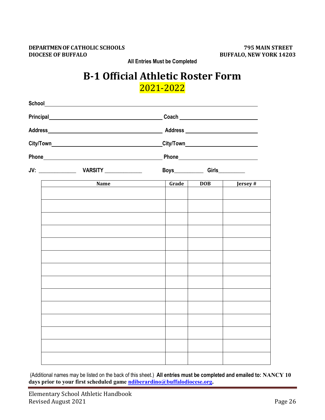#### <span id="page-25-0"></span>**DEPARTMEN OF CATHOLIC SCHOOLS 795 MAIN STREET DIOCESE OF BUFFALO BUFFALO, NEW YORK 14203**

**All Entries Must be Completed**

## **B-1 Official Athletic Roster Form** 2021-2022

| Principal <b>Principal</b> |       |            |         |
|----------------------------|-------|------------|---------|
|                            |       |            |         |
|                            |       |            |         |
|                            |       |            |         |
|                            |       |            |         |
| Name                       | Grade | <b>DOB</b> | Jersey# |
|                            |       |            |         |
|                            |       |            |         |
|                            |       |            |         |
|                            |       |            |         |
|                            |       |            |         |
|                            |       |            |         |
|                            |       |            |         |
|                            |       |            |         |
|                            |       |            |         |
|                            |       |            |         |

(Additional names may be listed on the back of this sheet.) **All entries must be completed and emailed to: NANCY 10 days prior to your first scheduled game [ndiberardino@buffalodiocese.org.](mailto:ndiberardino@buffalodiocese.org)**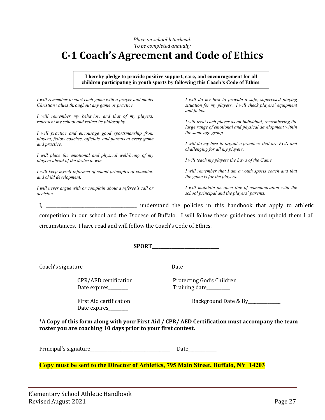*Place on school letterhead. To be completed annually*

# <span id="page-26-0"></span>**C-1 Coach's Agreement and Code of Ethics**

**I hereby pledge to provide positive support, care, and encouragement for all children participating in youth sports by following this Coach's Code of Ethics**.

*I will remember to start each game with a prayer and model Christian values throughout any game or practice.*

*I will remember my behavior, and that of my players, represent my school and reflect its philosophy.*

*I will practice and encourage good sportsmanship from players, fellow coaches, officials, and parents at every game and practice.*

*I will place the emotional and physical well-being of my players ahead of the desire to win.*

*I will keep myself informed of sound principles of coaching and child development.*

*I will never argue with or complain about a referee's call or decision.*

*I will do my best to provide a safe, supervised playing situation for my players. I will check players' equipment and fields.*

*I will treat each player as an individual, remembering the large range of emotional and physical development within the same age group.*

*I will do my best to organize practices that are FUN and challenging for all my players.*

*I will teach my players the Laws of the Game.*

*I will remember that I am a youth sports coach and that the game is for the players.*

*I will maintain an open line of communication with the school principal and the players' parents.*

I, **I** and the policies in this handbook that apply to athletic competition in our school and the Diocese of Buffalo. I will follow these guidelines and uphold them I all circumstances. I have read and will follow the Coach's Code of Ethics.

**SPORT\_\_\_\_\_\_\_\_\_\_\_\_\_\_\_\_\_\_\_\_\_\_\_\_\_\_\_\_\_\_\_**

Coach's signature \_\_\_\_\_\_\_\_\_\_\_\_\_\_\_\_\_\_\_\_\_\_\_\_\_\_\_\_\_\_\_\_\_\_\_\_\_\_ Date\_\_\_\_\_\_\_\_\_\_\_\_\_

CPR/AED certification Protecting God's Children<br>Date expires Training date

Date expires

Training date

First Aid certification The Background Date & By

\***A Copy of this form along with your First Aid / CPR/ AED Certification must accompany the team roster you are coaching 10 days prior to your first contest.**

**SUBMIT WITHIN 24 HOURS TO:** Principal's signature\_\_\_\_\_\_\_\_\_\_\_\_\_\_\_\_\_\_\_\_\_\_\_\_\_\_\_\_\_\_\_\_\_\_\_\_\_ Date\_\_\_\_\_\_\_\_\_\_\_\_\_

**Copy must be sent to the Director of Athletics, 795 Main Street, Buffalo, NY 14203**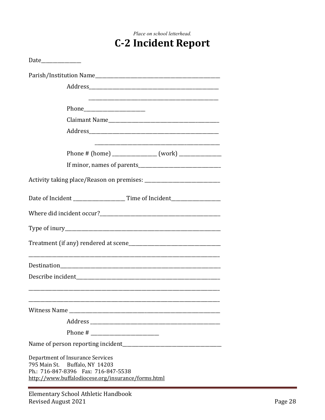# <span id="page-27-0"></span>Place on school letterhead. **C-2 Incident Report** Date\_\_\_\_\_\_\_\_\_\_\_\_\_\_\_\_ Parish/Institution Name

| arish) mstitution rumit                                                                                                                                          |
|------------------------------------------------------------------------------------------------------------------------------------------------------------------|
|                                                                                                                                                                  |
|                                                                                                                                                                  |
|                                                                                                                                                                  |
|                                                                                                                                                                  |
|                                                                                                                                                                  |
|                                                                                                                                                                  |
|                                                                                                                                                                  |
|                                                                                                                                                                  |
|                                                                                                                                                                  |
|                                                                                                                                                                  |
|                                                                                                                                                                  |
|                                                                                                                                                                  |
|                                                                                                                                                                  |
| <u> 1989 - Johann Stoff, deutscher Stoff, der Stoff, der Stoff, der Stoff, der Stoff, der Stoff, der Stoff, der S</u>                                            |
|                                                                                                                                                                  |
|                                                                                                                                                                  |
|                                                                                                                                                                  |
|                                                                                                                                                                  |
|                                                                                                                                                                  |
|                                                                                                                                                                  |
| Department of Insurance Services<br>795 Main St. Buffalo, NY 14203<br>Ph.: 716-847-8396  Fax: 716-847-5538<br>http://www.buffalodiocese.org/insurance/forms.html |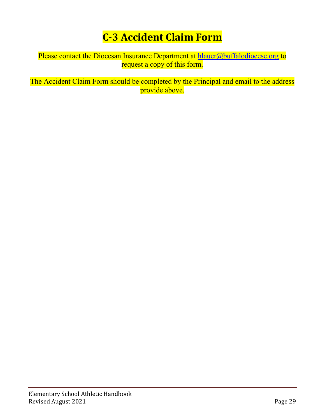# **C-3 Accident Claim Form**

<span id="page-28-0"></span>Please contact the Diocesan Insurance Department at [hlauer@buffalodiocese.org](mailto:hlauer@buffalodiocese.org) to request a copy of this form.

The Accident Claim Form should be completed by the Principal and email to the address provide above.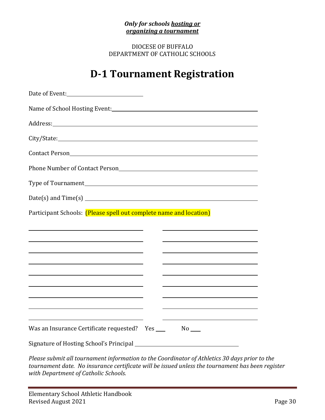### *Only for schools hosting or organizing a tournament*

DIOCESE OF BUFFALO DEPARTMENT OF CATHOLIC SCHOOLS

# **D-1 Tournament Registration**

<span id="page-29-0"></span>

| Participant Schools: (Please spell out complete name and location)                                                   |  |
|----------------------------------------------------------------------------------------------------------------------|--|
| <u> 1989 - Johann Barbara, martin amerikan basar dan berasal dalam basa dalam basar dalam basar dalam basa dalam</u> |  |
|                                                                                                                      |  |
|                                                                                                                      |  |
| <u> 1989 - Johann Barbara, martxa alemaniar amerikan a</u>                                                           |  |
|                                                                                                                      |  |
|                                                                                                                      |  |
|                                                                                                                      |  |
|                                                                                                                      |  |
| Was an Insurance Certificate requested? Yes ___                                                                      |  |

*Please submit all tournament information to the Coordinator of Athletics 30 days prior to the tournament date. No insurance certificate will be issued unless the tournament has been register with Department of Catholic Schools.*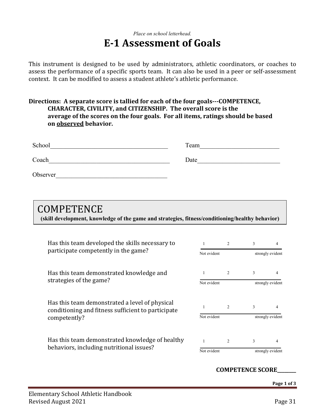## *Place on school letterhead.* **E-1 Assessment of Goals**

This instrument is designed to be used by administrators, athletic coordinators, or coaches to assess the performance of a specific sports team. It can also be used in a peer or self-assessment context. It can be modified to assess a student athlete's athletic performance.

### **Directions: A separate score is tallied for each of the four goals---COMPETENCE, CHARACTER, CIVILITY, and CITIZENSHIP. The overall score is the average of the scores on the four goals. For all items, ratings should be based on observed behavior.**

| School   | Team |  |
|----------|------|--|
| Coach    | Date |  |
| Observer |      |  |

## **COMPETENCE**

**(skill development, knowledge of the game and strategies, fitness/conditioning/healthy behavior)**

| Has this team developed the skills necessary to<br>participate competently in the game?              |             | 2              | 3             | 4                |
|------------------------------------------------------------------------------------------------------|-------------|----------------|---------------|------------------|
|                                                                                                      |             | Not evident    |               | strongly evident |
| Has this team demonstrated knowledge and<br>strategies of the game?                                  |             | 2              | 3             | 4                |
|                                                                                                      |             | Not evident    |               | strongly evident |
| Has this team demonstrated a level of physical<br>conditioning and fitness sufficient to participate |             | $\mathfrak{D}$ | $\mathcal{E}$ | 4                |
| competently?                                                                                         | Not evident |                |               | strongly evident |
| Has this team demonstrated knowledge of healthy<br>behaviors, including nutritional issues?          |             | $\overline{c}$ | 3             | 4                |
|                                                                                                      |             | Not evident    |               | strongly evident |

### **COMPETENCE SCORE\_\_\_\_\_\_\_\_**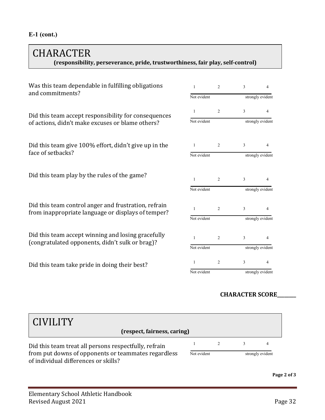## CHARACTER **(responsibility, perseverance, pride, trustworthiness, fair play, self-control)**

| Was this team dependable in fulfilling obligations<br>and commitments?                                     | $\mathbf{1}$ | 2              | 3                | 4                |
|------------------------------------------------------------------------------------------------------------|--------------|----------------|------------------|------------------|
|                                                                                                            | Not evident  |                | strongly evident |                  |
| Did this team accept responsibility for consequences<br>of actions, didn't make excuses or blame others?   | 1            | $\overline{2}$ | 3                | 4                |
|                                                                                                            | Not evident  |                |                  | strongly evident |
| Did this team give 100% effort, didn't give up in the<br>face of setbacks?                                 | 1            | 2              | 3                | 4                |
|                                                                                                            | Not evident  |                | strongly evident |                  |
| Did this team play by the rules of the game?                                                               | 1            | 2              | 3                | 4                |
|                                                                                                            | Not evident  |                |                  | strongly evident |
| Did this team control anger and frustration, refrain<br>from inappropriate language or displays of temper? | 1            | 2              | 3                | 4                |
|                                                                                                            | Not evident  |                | strongly evident |                  |
| Did this team accept winning and losing gracefully<br>(congratulated opponents, didn't sulk or brag)?      | 1            | $\overline{2}$ | 3                | 4                |
|                                                                                                            | Not evident  |                | strongly evident |                  |
| Did this team take pride in doing their best?                                                              | 1            | 2              | 3                | 4                |
|                                                                                                            | Not evident  |                | strongly evident |                  |

## **CHARACTER SCORE\_\_\_\_\_\_\_\_**

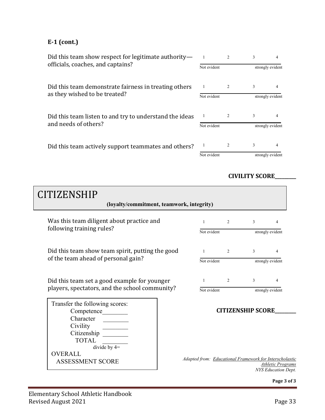## **E-1 (cont.)**

| Did this team show respect for legitimate authority—    |             |             | 3                |                  |  |
|---------------------------------------------------------|-------------|-------------|------------------|------------------|--|
| officials, coaches, and captains?                       | Not evident |             | strongly evident |                  |  |
| Did this team demonstrate fairness in treating others   |             |             | 3                |                  |  |
| as they wished to be treated?                           |             | Not evident |                  | strongly evident |  |
| Did this team listen to and try to understand the ideas | -1          |             | 3                |                  |  |
| and needs of others?                                    | Not evident |             | strongly evident |                  |  |
| Did this team actively support teammates and others?    |             |             | 3                |                  |  |
|                                                         | Not evident |             | strongly evident |                  |  |

## **CIVILITY SCORE\_\_\_\_\_\_\_\_\_**

| <b>CITIZENSHIP</b><br>(loyalty/commitment, teamwork, integrity)                                                        |                                                         |                          |                  |                                                        |
|------------------------------------------------------------------------------------------------------------------------|---------------------------------------------------------|--------------------------|------------------|--------------------------------------------------------|
| Was this team diligent about practice and                                                                              | $\mathbf{1}$                                            | 2                        | 3                | $\overline{4}$                                         |
| following training rules?                                                                                              | Not evident                                             |                          | strongly evident |                                                        |
| Did this team show team spirit, putting the good                                                                       | $\mathbf{1}$                                            | 2                        | 3                | $\overline{4}$                                         |
| of the team ahead of personal gain?                                                                                    | Not evident                                             |                          |                  | strongly evident                                       |
| Did this team set a good example for younger                                                                           | 1                                                       | 2                        | 3                | 4                                                      |
| players, spectators, and the school community?                                                                         | Not evident                                             |                          |                  | strongly evident                                       |
| Transfer the following scores:<br>Competence<br>Character<br>Civility<br>Citizenship<br><b>TOTAL</b><br>divide by $4=$ |                                                         | <b>CITIZENSHIP SCORE</b> |                  |                                                        |
| <b>OVERALL</b><br><b>ASSESSMENT SCORE</b>                                                                              | Adapted from: Educational Framework for Interscholastic |                          |                  | <b>Athletic Programs</b><br><b>NYS Education Dept.</b> |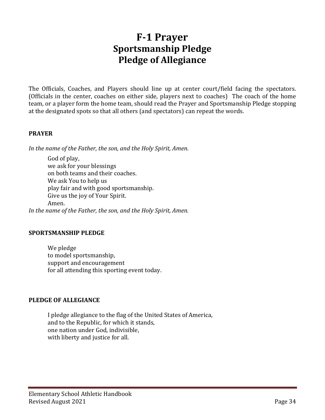## **F-1 Prayer Sportsmanship Pledge Pledge of Allegiance**

<span id="page-33-0"></span>The Officials, Coaches, and Players should line up at center court/field facing the spectators. (Officials in the center, coaches on either side, players next to coaches) The coach of the home team, or a player form the home team, should read the Prayer and Sportsmanship Pledge stopping at the designated spots so that all others (and spectators) can repeat the words.

### **PRAYER**

*In the name of the Father, the son, and the Holy Spirit, Amen.*

God of play, we ask for your blessings on both teams and their coaches. We ask You to help us play fair and with good sportsmanship. Give us the joy of Your Spirit. Amen. *In the name of the Father, the son, and the Holy Spirit, Amen.*

### **SPORTSMANSHIP PLEDGE**

We pledge to model sportsmanship, support and encouragement for all attending this sporting event today.

### **PLEDGE OF ALLEGIANCE**

I pledge allegiance to the flag of the United States of America, and to the Republic, for which it stands, one nation under God, indivisible, with liberty and justice for all.